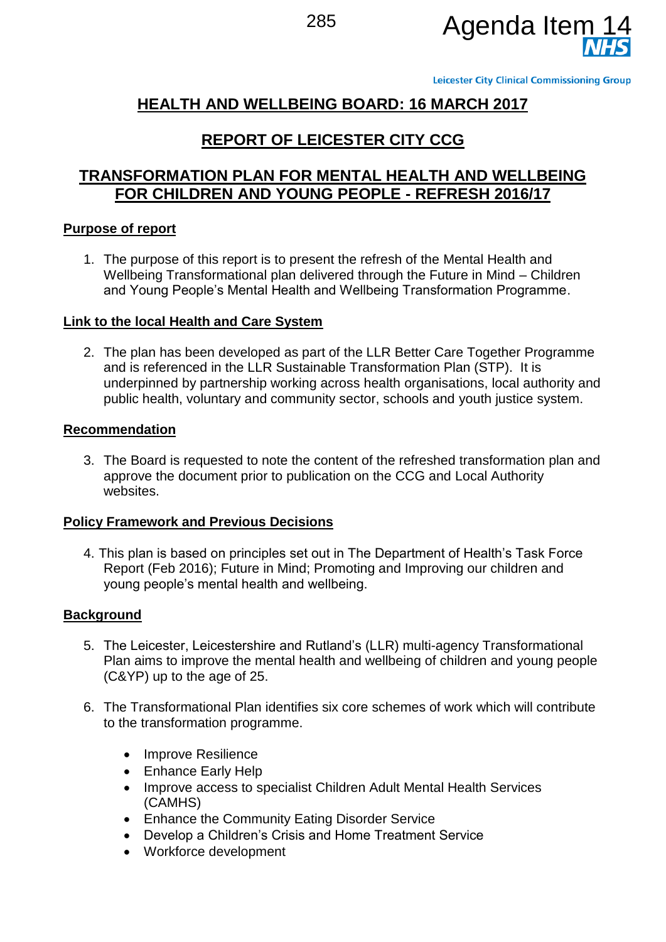

**Leicester City Clinical Commissioning Group** 

# **HEALTH AND WELLBEING BOARD: 16 MARCH 2017**

## **REPORT OF LEICESTER CITY CCG**

## **TRANSFORMATION PLAN FOR MENTAL HEALTH AND WELLBEING FOR CHILDREN AND YOUNG PEOPLE - REFRESH 2016/17**

### **Purpose of report**

1. The purpose of this report is to present the refresh of the Mental Health and Wellbeing Transformational plan delivered through the Future in Mind – Children and Young People's Mental Health and Wellbeing Transformation Programme.

#### **Link to the local Health and Care System**

2. The plan has been developed as part of the LLR Better Care Together Programme and is referenced in the LLR Sustainable Transformation Plan (STP). It is underpinned by partnership working across health organisations, local authority and public health, voluntary and community sector, schools and youth justice system.

#### **Recommendation**

3. The Board is requested to note the content of the refreshed transformation plan and approve the document prior to publication on the CCG and Local Authority websites.

#### **Policy Framework and Previous Decisions**

4. This plan is based on principles set out in The Department of Health's Task Force Report (Feb 2016); Future in Mind; Promoting and Improving our children and young people's mental health and wellbeing.

#### **Background**

- 5. The Leicester, Leicestershire and Rutland's (LLR) multi-agency Transformational Plan aims to improve the mental health and wellbeing of children and young people (C&YP) up to the age of 25.
- 6. The Transformational Plan identifies six core schemes of work which will contribute to the transformation programme.
	- Improve Resilience
	- Enhance Early Help
	- Improve access to specialist Children Adult Mental Health Services (CAMHS)
	- **•** Enhance the Community Eating Disorder Service
	- Develop a Children's Crisis and Home Treatment Service
	- Workforce development